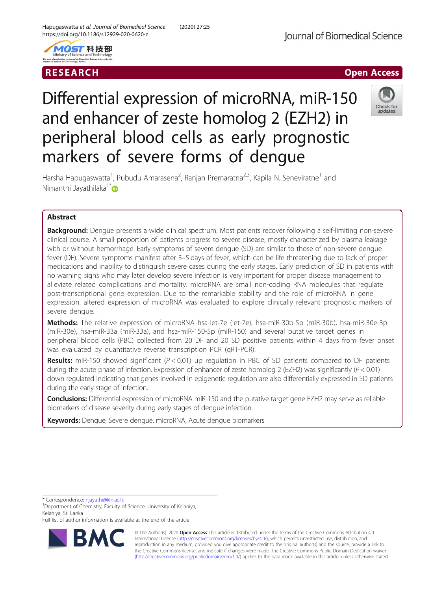



# RESEARCH **RESEARCH CHANNEL EXECUTE ACCESS**

# Differential expression of microRNA, miR-150 and enhancer of zeste homolog 2 (EZH2) in peripheral blood cells as early prognostic markers of severe forms of dengue



Harsha Hapugaswatta<sup>1</sup>, Pubudu Amarasena<sup>2</sup>, Ranjan Premaratna<sup>2,3</sup>, Kapila N. Seneviratne<sup>1</sup> and Nimanthi Jayathilaka<sup>1[\\*](http://orcid.org/0000-0001-8741-3075)</sup>

# Abstract

**Background:** Dengue presents a wide clinical spectrum. Most patients recover following a self-limiting non-severe clinical course. A small proportion of patients progress to severe disease, mostly characterized by plasma leakage with or without hemorrhage. Early symptoms of severe dengue (SD) are similar to those of non-severe dengue fever (DF). Severe symptoms manifest after 3–5 days of fever, which can be life threatening due to lack of proper medications and inability to distinguish severe cases during the early stages. Early prediction of SD in patients with no warning signs who may later develop severe infection is very important for proper disease management to alleviate related complications and mortality. microRNA are small non-coding RNA molecules that regulate post-transcriptional gene expression. Due to the remarkable stability and the role of microRNA in gene expression, altered expression of microRNA was evaluated to explore clinically relevant prognostic markers of severe dengue.

Methods: The relative expression of microRNA hsa-let-7e (let-7e), hsa-miR-30b-5p (miR-30b), hsa-miR-30e-3p (miR-30e), hsa-miR-33a (miR-33a), and hsa-miR-150-5p (miR-150) and several putative target genes in peripheral blood cells (PBC) collected from 20 DF and 20 SD positive patients within 4 days from fever onset was evaluated by quantitative reverse transcription PCR (qRT-PCR).

**Results:** miR-150 showed significant ( $P < 0.01$ ) up regulation in PBC of SD patients compared to DF patients during the acute phase of infection. Expression of enhancer of zeste homolog 2 (EZH2) was significantly ( $P < 0.01$ ) down regulated indicating that genes involved in epigenetic regulation are also differentially expressed in SD patients during the early stage of infection.

Conclusions: Differential expression of microRNA miR-150 and the putative target gene EZH2 may serve as reliable biomarkers of disease severity during early stages of dengue infection.

Keywords: Dengue, Severe dengue, microRNA, Acute dengue biomarkers

\* Correspondence: [njayathi@kln.ac.lk](mailto:njayathi@kln.ac.lk) <sup>1</sup>

Full list of author information is available at the end of the article



© The Author(s). 2020 **Open Access** This article is distributed under the terms of the Creative Commons Attribution 4.0 International License [\(http://creativecommons.org/licenses/by/4.0/](http://creativecommons.org/licenses/by/4.0/)), which permits unrestricted use, distribution, and reproduction in any medium, provided you give appropriate credit to the original author(s) and the source, provide a link to the Creative Commons license, and indicate if changes were made. The Creative Commons Public Domain Dedication waiver [\(http://creativecommons.org/publicdomain/zero/1.0/](http://creativecommons.org/publicdomain/zero/1.0/)) applies to the data made available in this article, unless otherwise stated.

<sup>&</sup>lt;sup>1</sup>Department of Chemistry, Faculty of Science, University of Kelaniya, Kelaniya, Sri Lanka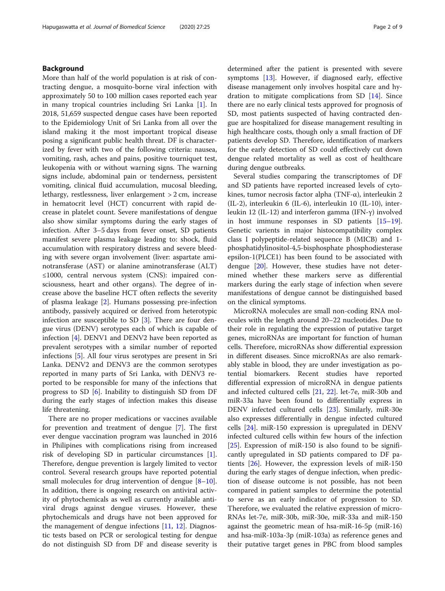# Background

More than half of the world population is at risk of contracting dengue, a mosquito-borne viral infection with approximately 50 to 100 million cases reported each year in many tropical countries including Sri Lanka [[1\]](#page-7-0). In 2018, 51,659 suspected dengue cases have been reported to the Epidemiology Unit of Sri Lanka from all over the island making it the most important tropical disease posing a significant public health threat. DF is characterized by fever with two of the following criteria: nausea, vomiting, rash, aches and pains, positive tourniquet test, leukopenia with or without warning signs. The warning signs include, abdominal pain or tenderness, persistent vomiting, clinical fluid accumulation, mucosal bleeding, lethargy, restlessness, liver enlargement > 2 cm, increase in hematocrit level (HCT) concurrent with rapid decrease in platelet count. Severe manifestations of dengue also show similar symptoms during the early stages of infection. After 3–5 days from fever onset, SD patients manifest severe plasma leakage leading to: shock, fluid accumulation with respiratory distress and severe bleeding with severe organ involvement (liver: aspartate aminotransferase (AST) or alanine aminotransferase (ALT) ≤1000, central nervous system (CNS): impaired consciousness, heart and other organs). The degree of increase above the baseline HCT often reflects the severity of plasma leakage [\[2](#page-7-0)]. Humans possessing pre-infection antibody, passively acquired or derived from heterotypic infection are susceptible to SD [[3](#page-7-0)]. There are four dengue virus (DENV) serotypes each of which is capable of infection [[4\]](#page-7-0). DENV1 and DENV2 have been reported as prevalent serotypes with a similar number of reported infections [\[5\]](#page-7-0). All four virus serotypes are present in Sri Lanka. DENV2 and DENV3 are the common serotypes reported in many parts of Sri Lanka, with DENV3 reported to be responsible for many of the infections that progress to SD [\[6](#page-7-0)]. Inability to distinguish SD from DF during the early stages of infection makes this disease life threatening.

There are no proper medications or vaccines available for prevention and treatment of dengue [[7\]](#page-7-0). The first ever dengue vaccination program was launched in 2016 in Philipines with complications rising from increased risk of developing SD in particular circumstances [\[1](#page-7-0)]. Therefore, dengue prevention is largely limited to vector control. Several research groups have reported potential small molecules for drug intervention of dengue  $[8-10]$  $[8-10]$  $[8-10]$  $[8-10]$  $[8-10]$ . In addition, there is ongoing research on antiviral activity of phytochemicals as well as currently available antiviral drugs against dengue viruses. However, these phytochemicals and drugs have not been approved for the management of dengue infections [[11,](#page-7-0) [12](#page-7-0)]. Diagnostic tests based on PCR or serological testing for dengue do not distinguish SD from DF and disease severity is determined after the patient is presented with severe symptoms [\[13](#page-7-0)]. However, if diagnosed early, effective disease management only involves hospital care and hydration to mitigate complications from SD [[14\]](#page-7-0). Since there are no early clinical tests approved for prognosis of SD, most patients suspected of having contracted dengue are hospitalized for disease management resulting in high healthcare costs, though only a small fraction of DF patients develop SD. Therefore, identification of markers for the early detection of SD could effectively cut down dengue related mortality as well as cost of healthcare during dengue outbreaks.

Several studies comparing the transcriptomes of DF and SD patients have reported increased levels of cytokines, tumor necrosis factor alpha (TNF-α), interleukin 2 (IL-2), interleukin 6 (IL-6), interleukin 10 (IL-10), interleukin 12 (IL-12) and interferon gamma (IFN-γ) involved in host immune responses in SD patients [[15](#page-7-0)–[19](#page-7-0)]. Genetic varients in major histocompatibility complex class I polypeptide-related sequence B (MICB) and 1 phosphatidylinositol-4,5-bisphosphate phosphodiesterase epsilon-1(PLCE1) has been found to be associated with dengue [\[20](#page-7-0)]. However, these studies have not determined whether these markers serve as differential markers during the early stage of infection when severe manifestations of dengue cannot be distinguished based on the clinical symptoms.

MicroRNA molecules are small non-coding RNA molecules with the length around 20–22 nucleotides. Due to their role in regulating the expression of putative target genes, microRNAs are important for function of human cells. Therefore, microRNAs show differential expression in different diseases. Since microRNAs are also remarkably stable in blood, they are under investigation as potential biomarkers. Recent studies have reported differential expression of microRNA in dengue patients and infected cultured cells [[21](#page-7-0), [22\]](#page-7-0). let-7e, miR-30b and miR-33a have been found to differentially express in DENV infected cultured cells [\[23](#page-7-0)]. Similarly, miR-30e also expresses differentially in dengue infected cultured cells [[24\]](#page-7-0). miR-150 expression is upregulated in DENV infected cultured cells within few hours of the infection [[25\]](#page-8-0). Expression of miR-150 is also found to be significantly upregulated in SD patients compared to DF patients [\[26\]](#page-8-0). However, the expression levels of miR-150 during the early stages of dengue infection, when prediction of disease outcome is not possible, has not been compared in patient samples to determine the potential to serve as an early indicator of progression to SD. Therefore, we evaluated the relative expression of micro-RNAs let-7e, miR-30b, miR-30e, miR-33a and miR-150 against the geometric mean of hsa-miR-16-5p (miR-16) and hsa-miR-103a-3p (miR-103a) as reference genes and their putative target genes in PBC from blood samples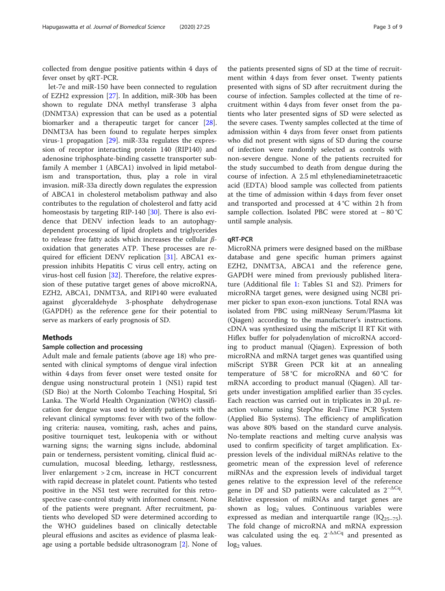collected from dengue positive patients within 4 days of fever onset by qRT-PCR.

let-7e and miR-150 have been connected to regulation of EZH2 expression [[27](#page-8-0)]. In addition, miR-30b has been shown to regulate DNA methyl transferase 3 alpha (DNMT3A) expression that can be used as a potential biomarker and a therapeutic target for cancer [\[28](#page-8-0)]. DNMT3A has been found to regulate herpes simplex virus-1 propagation [\[29](#page-8-0)]. miR-33a regulates the expression of receptor interacting protein 140 (RIP140) and adenosine triphosphate-binding cassette transporter subfamily A member 1 (ABCA1) involved in lipid metabolism and transportation, thus, play a role in viral invasion. miR-33a directly down regulates the expression of ABCA1 in cholesterol metabolism pathway and also contributes to the regulation of cholesterol and fatty acid homeostasis by targeting RIP-140 [\[30\]](#page-8-0). There is also evidence that DENV infection leads to an autophagydependent processing of lipid droplets and triglycerides to release free fatty acids which increases the cellular  $\beta$ oxidation that generates ATP. These processes are required for efficient DENV replication [[31](#page-8-0)]. ABCA1 expression inhibits Hepatitis C virus cell entry, acting on virus-host cell fusion [[32](#page-8-0)]. Therefore, the relative expression of these putative target genes of above microRNA, EZH2, ABCA1, DNMT3A, and RIP140 were evaluated against glyceraldehyde 3-phosphate dehydrogenase (GAPDH) as the reference gene for their potential to serve as markers of early prognosis of SD.

# **Methods**

## Sample collection and processing

Adult male and female patients (above age 18) who presented with clinical symptoms of dengue viral infection within 4 days from fever onset were tested onsite for dengue using nonstructural protein 1 (NS1) rapid test (SD Bio) at the North Colombo Teaching Hospital, Sri Lanka. The World Health Organization (WHO) classification for dengue was used to identify patients with the relevant clinical symptoms: fever with two of the following criteria: nausea, vomiting, rash, aches and pains, positive tourniquet test, leukopenia with or without warning signs; the warning signs include, abdominal pain or tenderness, persistent vomiting, clinical fluid accumulation, mucosal bleeding, lethargy, restlessness, liver enlargement > 2 cm, increase in HCT concurrent with rapid decrease in platelet count. Patients who tested positive in the NS1 test were recruited for this retrospective case-control study with informed consent. None of the patients were pregnant. After recruitment, patients who developed SD were determined according to the WHO guidelines based on clinically detectable pleural effusions and ascites as evidence of plasma leakage using a portable bedside ultrasonogram [\[2](#page-7-0)]. None of

the patients presented signs of SD at the time of recruitment within 4 days from fever onset. Twenty patients presented with signs of SD after recruitment during the course of infection. Samples collected at the time of recruitment within 4 days from fever onset from the patients who later presented signs of SD were selected as the severe cases. Twenty samples collected at the time of admission within 4 days from fever onset from patients who did not present with signs of SD during the course of infection were randomly selected as controls with non-severe dengue. None of the patients recruited for the study succumbed to death from dengue during the course of infection. A 2.5 ml ethylenediaminetetraacetic acid (EDTA) blood sample was collected from patients at the time of admission within 4 days from fever onset and transported and processed at 4 °C within 2 h from sample collection. Isolated PBC were stored at − 80 °C until sample analysis.

#### qRT-PCR

MicroRNA primers were designed based on the miRbase database and gene specific human primers against EZH2, DNMT3A, ABCA1 and the reference gene, GAPDH were mined from previously published literature (Additional file [1:](#page-6-0) Tables S1 and S2). Primers for microRNA target genes, were designed using NCBI primer picker to span exon-exon junctions. Total RNA was isolated from PBC using miRNeasy Serum/Plasma kit (Qiagen) according to the manufacturer's instructions. cDNA was synthesized using the miScript II RT Kit with Hiflex buffer for polyadenylation of microRNA according to product manual (Qiagen). Expression of both microRNA and mRNA target genes was quantified using miScript SYBR Green PCR kit at an annealing temperature of 58 °C for microRNA and 60 °C for mRNA according to product manual (Qiagen). All targets under investigation amplified earlier than 35 cycles. Each reaction was carried out in triplicates in 20 μL reaction volume using StepOne Real-Time PCR System (Applied Bio Systems). The efficiency of amplification was above 80% based on the standard curve analysis. No-template reactions and melting curve analysis was used to confirm specificity of target amplification. Expression levels of the individual miRNAs relative to the geometric mean of the expression level of reference miRNAs and the expression levels of individual target genes relative to the expression level of the reference gene in DF and SD patients were calculated as  $2^{-\Delta Cq}$ . Relative expression of miRNAs and target genes are shown as  $log<sub>2</sub>$  values. Continuous variables were expressed as median and interquartile range  $(IQ<sub>25-75</sub>)$ . The fold change of microRNA and mRNA expression was calculated using the eq.  $2^{-\Delta\Delta Cq}$  and presented as  $log<sub>2</sub>$  values.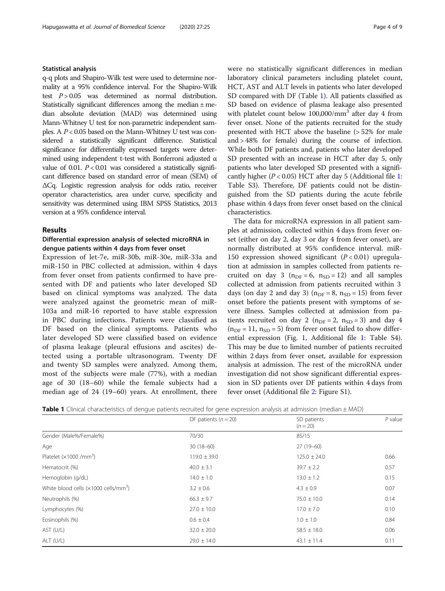#### Statistical analysis

q-q plots and Shapiro-Wilk test were used to determine normality at a 95% confidence interval. For the Shapiro-Wilk test  $P > 0.05$  was determined as normal distribution. Statistically significant differences among the median ± median absolute deviation (MAD) was determined using Mann-Whitney U test for non-parametric independent samples. A  $P < 0.05$  based on the Mann-Whitney U test was considered a statistically significant difference. Statistical significance for differentially expressed targets were determined using independent t-test with Bonferroni adjusted α value of 0.01.  $P < 0.01$  was considered a statistically significant difference based on standard error of mean (SEM) of ΔCq. Logistic regression analysis for odds ratio, receiver operator characteristics, area under curve, specificity and sensitivity was determined using IBM SPSS Statistics, 2013 version at a 95% confidence interval.

#### Results

# Differential expression analysis of selected microRNA in dengue patients within 4 days from fever onset

Expression of let-7e, miR-30b, miR-30e, miR-33a and miR-150 in PBC collected at admission, within 4 days from fever onset from patients confirmed to have presented with DF and patients who later developed SD based on clinical symptoms was analyzed. The data were analyzed against the geometric mean of miR-103a and miR-16 reported to have stable expression in PBC during infections. Patients were classified as DF based on the clinical symptoms. Patients who later developed SD were classified based on evidence of plasma leakage (pleural effusions and ascites) detected using a portable ultrasonogram. Twenty DF and twenty SD samples were analyzed. Among them, most of the subjects were male (77%), with a median age of 30 (18–60) while the female subjects had a median age of 24 (19–60) years. At enrollment, there were no statistically significant differences in median laboratory clinical parameters including platelet count, HCT, AST and ALT levels in patients who later developed SD compared with DF (Table 1). All patients classified as SD based on evidence of plasma leakage also presented with platelet count below  $100,000/\text{mm}^3$  after day 4 from fever onset. None of the patients recruited for the study presented with HCT above the baseline (> 52% for male and > 48% for female) during the course of infection. While both DF patients and, patients who later developed SD presented with an increase in HCT after day 5, only patients who later developed SD presented with a significantly higher ( $P < 0.05$ ) HCT after day 5 (Additional file [1](#page-6-0): Table S3). Therefore, DF patients could not be distinguished from the SD patients during the acute febrile phase within 4 days from fever onset based on the clinical characteristics.

The data for microRNA expression in all patient samples at admission, collected within 4 days from fever onset (either on day 2, day 3 or day 4 from fever onset), are normally distributed at 95% confidence interval. miR-150 expression showed significant  $(P < 0.01)$  upregulation at admission in samples collected from patients recruited on day 3 ( $n_{\text{DE}} = 6$ ,  $n_{\text{SD}} = 12$ ) and all samples collected at admission from patients recruited within 3 days (on day 2 and day 3) ( $n<sub>DF</sub> = 8$ ,  $n<sub>SD</sub> = 15$ ) from fever onset before the patients present with symptoms of severe illness. Samples collected at admission from patients recruited on day 2 ( $n_{\text{DF}} = 2$ ,  $n_{\text{SD}} = 3$ ) and day 4  $(n_{\text{DF}} = 11, n_{\text{SD}} = 5)$  from fever onset failed to show differential expression (Fig. [1,](#page-4-0) Additional file [1:](#page-6-0) Table S4). This may be due to limited number of patients recruited within 2 days from fever onset, available for expression analysis at admission. The rest of the microRNA under investigation did not show significant differential expression in SD patients over DF patients within 4 days from fever onset (Additional file [2:](#page-7-0) Figure S1).

|  |  | <b>Table 1</b> Clinical characteristics of dengue patients recruited for gene expression analysis at admission (median ± MAD) |  |  |  |  |  |  |  |  |  |
|--|--|-------------------------------------------------------------------------------------------------------------------------------|--|--|--|--|--|--|--|--|--|
|--|--|-------------------------------------------------------------------------------------------------------------------------------|--|--|--|--|--|--|--|--|--|

|                                                           | DF patients $(n = 20)$ | SD patients      | $P$ value |
|-----------------------------------------------------------|------------------------|------------------|-----------|
|                                                           |                        | $(n = 20)$       |           |
| Gender (Male%/Female%)                                    | 70/30                  | 85/15            |           |
| Age                                                       | $30(18-60)$            | $27(19-60)$      |           |
| Platelet $(x1000 / mm^3)$                                 | $119.0 \pm 39.0$       | $125.0 \pm 24.0$ | 0.66      |
| Hematocrit (%)                                            | $40.0 \pm 3.1$         | $39.7 \pm 2.2$   | 0.57      |
| Hemoglobin (g/dL)                                         | $14.0 \pm 1.0$         | $13.0 \pm 1.2$   | 0.15      |
| White blood cells ( $\times$ 1000 cells/mm <sup>3</sup> ) | $3.2 \pm 0.6$          | $4.3 \pm 0.9$    | 0.07      |
| Neutrophils (%)                                           | $66.3 \pm 9.7$         | $75.0 \pm 10.0$  | 0.14      |
| Lymphocytes (%)                                           | $27.0 \pm 10.0$        | $17.0 \pm 7.0$   | 0.10      |
| Eosinophils (%)                                           | $0.6 \pm 0.4$          | $1.0 \pm 1.0$    | 0.84      |
| AST (U/L)                                                 | $32.0 \pm 20.0$        | $58.5 \pm 18.0$  | 0.06      |
| ALT (U/L)                                                 | $29.0 \pm 14.0$        | $43.1 \pm 11.4$  | 0.11      |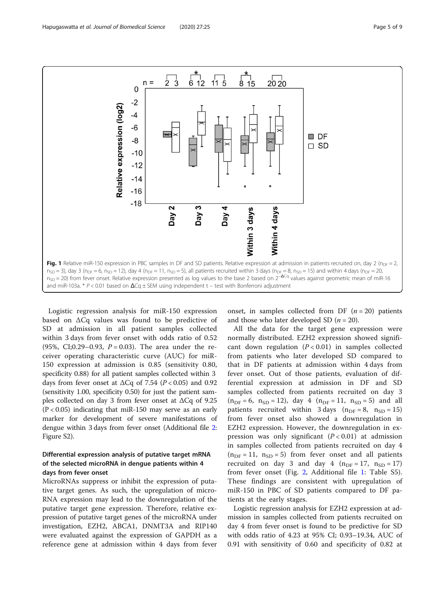<span id="page-4-0"></span>

Logistic regression analysis for miR-150 expression based on ΔCq values was found to be predictive of SD at admission in all patient samples collected within 3 days from fever onset with odds ratio of 0.52 (95%, CI;0.29–0.93,  $P = 0.03$ ). The area under the receiver operating characteristic curve (AUC) for miR-150 expression at admission is 0.85 (sensitivity 0.80, specificity 0.88) for all patient samples collected within 3 days from fever onset at  $\Delta Cq$  of 7.54 ( $P < 0.05$ ) and 0.92 (sensitivity 1.00, specificity 0.50) for just the patient samples collected on day 3 from fever onset at ΔCq of 9.25  $(P < 0.05)$  indicating that miR-150 may serve as an early marker for development of severe manifestations of dengue within 3 days from fever onset (Additional file [2](#page-7-0): Figure S2).

# Differential expression analysis of putative target mRNA of the selected microRNA in dengue patients within 4 days from fever onset

MicroRNAs suppress or inhibit the expression of putative target genes. As such, the upregulation of micro-RNA expression may lead to the downregulation of the putative target gene expression. Therefore, relative expression of putative target genes of the microRNA under investigation, EZH2, ABCA1, DNMT3A and RIP140 were evaluated against the expression of GAPDH as a reference gene at admission within 4 days from fever

onset, in samples collected from DF  $(n = 20)$  patients and those who later developed SD  $(n = 20)$ .

All the data for the target gene expression were normally distributed. EZH2 expression showed significant down regulation  $(P < 0.01)$  in samples collected from patients who later developed SD compared to that in DF patients at admission within 4 days from fever onset. Out of those patients, evaluation of differential expression at admission in DF and SD samples collected from patients recruited on day 3  $(n_{DF} = 6, n_{SD} = 12)$ , day 4  $(n_{DF} = 11, n_{SD} = 5)$  and all patients recruited within 3 days  $(n_{DF} = 8, n_{SD} = 15)$ from fever onset also showed a downregulation in EZH2 expression. However, the downregulation in expression was only significant  $(P < 0.01)$  at admission in samples collected from patients recruited on day 4  $(n_{\text{DF}} = 11, n_{\text{SD}} = 5)$  from fever onset and all patients recruited on day 3 and day 4 ( $n_{DF} = 17$ ,  $n_{SD} = 17$ ) from fever onset (Fig. [2,](#page-5-0) Additional file [1:](#page-6-0) Table S5). These findings are consistent with upregulation of miR-150 in PBC of SD patients compared to DF patients at the early stages.

Logistic regression analysis for EZH2 expression at admission in samples collected from patients recruited on day 4 from fever onset is found to be predictive for SD with odds ratio of 4.23 at 95% CI; 0.93–19.34, AUC of 0.91 with sensitivity of 0.60 and specificity of 0.82 at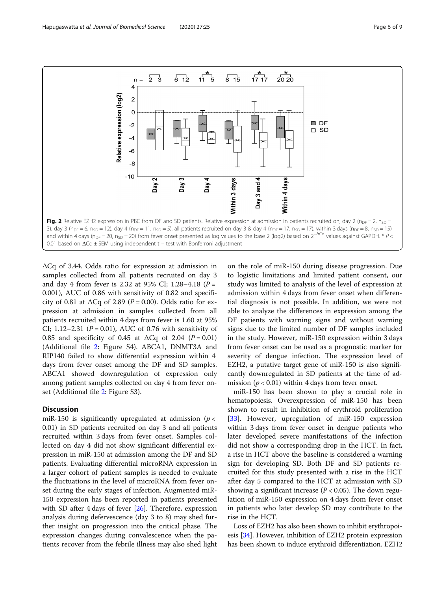<span id="page-5-0"></span>

ΔCq of 3.44. Odds ratio for expression at admission in samples collected from all patients recruited on day 3 and day 4 from fever is 2.32 at 95% CI; 1.28-4.18 ( $P =$ 0.001), AUC of 0.86 with sensitivity of 0.82 and specificity of 0.81 at  $\Delta Cq$  of 2.89 ( $P = 0.00$ ). Odds ratio for expression at admission in samples collected from all patients recruited within 4 days from fever is 1.60 at 95% CI; 1.12–2.31 ( $P = 0.01$ ), AUC of 0.76 with sensitivity of 0.85 and specificity of 0.45 at  $\Delta Cq$  of 2.04 ( $P = 0.01$ ) (Additional file [2:](#page-7-0) Figure S4). ABCA1, DNMT3A and RIP140 failed to show differential expression within 4 days from fever onset among the DF and SD samples. ABCA1 showed downregulation of expression only among patient samples collected on day 4 from fever onset (Additional file [2](#page-7-0): Figure S3).

#### **Discussion**

miR-150 is significantly upregulated at admission ( $p <$ 0.01) in SD patients recruited on day 3 and all patients recruited within 3 days from fever onset. Samples collected on day 4 did not show significant differential expression in miR-150 at admission among the DF and SD patients. Evaluating differential microRNA expression in a larger cohort of patient samples is needed to evaluate the fluctuations in the level of microRNA from fever onset during the early stages of infection. Augmented miR-150 expression has been reported in patients presented with SD after 4 days of fever [\[26](#page-8-0)]. Therefore, expression analysis during defervescence (day 3 to 8) may shed further insight on progression into the critical phase. The expression changes during convalescence when the patients recover from the febrile illness may also shed light

on the role of miR-150 during disease progression. Due to logistic limitations and limited patient consent, our study was limited to analysis of the level of expression at admission within 4 days from fever onset when differential diagnosis is not possible. In addition, we were not able to analyze the differences in expression among the DF patients with warning signs and without warning signs due to the limited number of DF samples included in the study. However, miR-150 expression within 3 days from fever onset can be used as a prognostic marker for severity of dengue infection. The expression level of EZH2, a putative target gene of miR-150 is also significantly downregulated in SD patients at the time of admission ( $p < 0.01$ ) within 4 days from fever onset.

miR-150 has been shown to play a crucial role in hematopoiesis. Overexpression of miR-150 has been shown to result in inhibition of erythroid proliferation [[33\]](#page-8-0). However, upregulation of miR-150 expression within 3 days from fever onset in dengue patients who later developed severe manifestations of the infection did not show a corresponding drop in the HCT. In fact, a rise in HCT above the baseline is considered a warning sign for developing SD. Both DF and SD patients recruited for this study presented with a rise in the HCT after day 5 compared to the HCT at admission with SD showing a significant increase ( $P < 0.05$ ). The down regulation of miR-150 expression on 4 days from fever onset in patients who later develop SD may contribute to the rise in the HCT.

Loss of EZH2 has also been shown to inhibit erythropoi-esis [\[34\]](#page-8-0). However, inhibition of EZH2 protein expression has been shown to induce erythroid differentiation. EZH2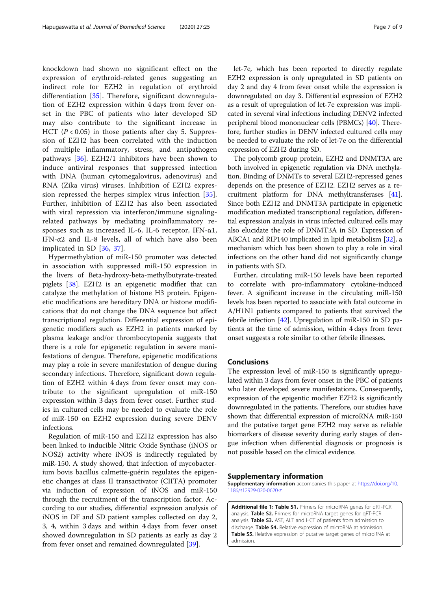<span id="page-6-0"></span>knockdown had shown no significant effect on the expression of erythroid-related genes suggesting an indirect role for EZH2 in regulation of erythroid differentiation [\[35](#page-8-0)]. Therefore, significant downregulation of EZH2 expression within 4 days from fever onset in the PBC of patients who later developed SD may also contribute to the significant increase in HCT ( $P < 0.05$ ) in those patients after day 5. Suppression of EZH2 has been correlated with the induction of multiple inflammatory, stress, and antipathogen pathways [\[36](#page-8-0)]. EZH2/1 inhibitors have been shown to induce antiviral responses that suppressed infection with DNA (human cytomegalovirus, adenovirus) and RNA (Zika virus) viruses. Inhibition of EZH2 expression repressed the herpes simplex virus infection [\[35](#page-8-0)]. Further, inhibition of EZH2 has also been associated with viral repression via interferon/immune signalingrelated pathways by mediating proinflammatory responses such as increased IL-6, IL-6 receptor, IFN- $\alpha$ 1, IFN- $\alpha$ 2 and IL-8 levels, all of which have also been implicated in SD [[36,](#page-8-0) [37\]](#page-8-0).

Hypermethylation of miR-150 promoter was detected in association with suppressed miR-150 expression in the livers of Beta-hydroxy-beta-methylbutyrate-treated piglets [[38](#page-8-0)]. EZH2 is an epigenetic modifier that can catalyze the methylation of histone H3 protein. Epigenetic modifications are hereditary DNA or histone modifications that do not change the DNA sequence but affect transcriptional regulation. Differential expression of epigenetic modifiers such as EZH2 in patients marked by plasma leakage and/or thrombocytopenia suggests that there is a role for epigenetic regulation in severe manifestations of dengue. Therefore, epigenetic modifications may play a role in severe manifestation of dengue during secondary infections. Therefore, significant down regulation of EZH2 within 4 days from fever onset may contribute to the significant upregulation of miR-150 expression within 3 days from fever onset. Further studies in cultured cells may be needed to evaluate the role of miR-150 on EZH2 expression during severe DENV infections.

Regulation of miR-150 and EZH2 expression has also been linked to inducible Nitric Oxide Synthase (iNOS or NOS2) activity where iNOS is indirectly regulated by miR-150. A study showed, that infection of mycobacterium bovis bacillus calmette-guérin regulates the epigenetic changes at class II transactivator (CIITA) promoter via induction of expression of iNOS and miR-150 through the recruitment of the transcription factor. According to our studies, differential expression analysis of iNOS in DF and SD patient samples collected on day 2, 3, 4, within 3 days and within 4 days from fever onset showed downregulation in SD patients as early as day 2 from fever onset and remained downregulated [[39\]](#page-8-0).

let-7e, which has been reported to directly regulate EZH2 expression is only upregulated in SD patients on day 2 and day 4 from fever onset while the expression is downregulated on day 3. Differential expression of EZH2 as a result of upregulation of let-7e expression was implicated in several viral infections including DENV2 infected peripheral blood mononuclear cells (PBMCs) [\[40\]](#page-8-0). Therefore, further studies in DENV infected cultured cells may be needed to evaluate the role of let-7e on the differential expression of EZH2 during SD.

The polycomb group protein, EZH2 and DNMT3A are both involved in epigenetic regulation via DNA methylation. Binding of DNMTs to several EZH2-repressed genes depends on the presence of EZH2. EZH2 serves as a recruitment platform for DNA methyltransferases [[41](#page-8-0)]. Since both EZH2 and DNMT3A participate in epigenetic modification mediated transcriptional regulation, differential expression analysis in virus infected cultured cells may also elucidate the role of DNMT3A in SD. Expression of ABCA1 and RIP140 implicated in lipid metabolism [\[32](#page-8-0)], a mechanism which has been shown to play a role in viral infections on the other hand did not significantly change in patients with SD.

Further, circulating miR-150 levels have been reported to correlate with pro-inflammatory cytokine-induced fever. A significant increase in the circulating miR-150 levels has been reported to associate with fatal outcome in A/H1N1 patients compared to patients that survived the febrile infection [\[42\]](#page-8-0). Upregulation of miR-150 in SD patients at the time of admission, within 4 days from fever onset suggests a role similar to other febrile illnesses.

# **Conclusions**

The expression level of miR-150 is significantly upregulated within 3 days from fever onset in the PBC of patients who later developed severe manifestations. Consequently, expression of the epigentic modifier EZH2 is significantly downregulated in the patients. Therefore, our studies have shown that differential expression of microRNA miR-150 and the putative target gene EZH2 may serve as reliable biomarkers of disease severity during early stages of dengue infection when differential diagnosis or prognosis is not possible based on the clinical evidence.

#### Supplementary information

Supplementary information accompanies this paper at [https://doi.org/10.](https://doi.org/10.1186/s12929-020-0620-z) [1186/s12929-020-0620-z](https://doi.org/10.1186/s12929-020-0620-z).

Additional file 1: Table S1. Primers for microRNA genes for qRT-PCR analysis. Table S2. Primers for microRNA target genes for qRT-PCR analysis. Table S3. AST, ALT and HCT of patients from admission to discharge. Table S4. Relative expression of microRNA at admission. Table S5. Relative expression of putative target genes of microRNA at admission.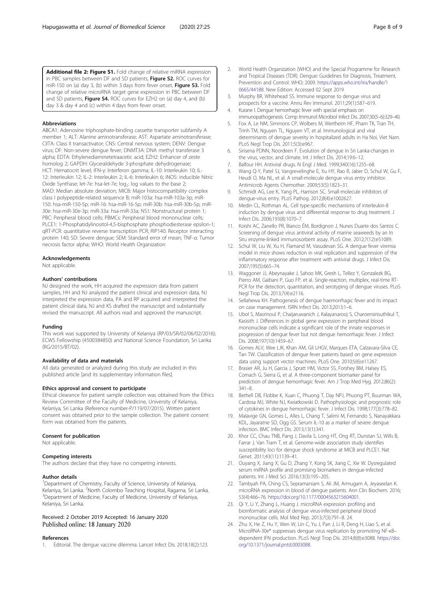<span id="page-7-0"></span>Additional file 2: Figure S1. Fold change of relative miRNA expression in PBC samples between DF and SD patients, Figure S2. ROC curves for miR-150 on (a) day 3, (b) within 3 days from fever onset, Figure S3. Fold change of relative microRNA target gene expression in PBC between DF and SD patients, Figure S4. ROC curves for EZH2 on (a) day 4, and (b) day 3 & day 4 and (c) within 4 days from fever onset.

#### Abbreviations

ABCA1: Adenosine triphosphate-binding cassette transporter subfamily A member 1; ALT: Alanine aminotransferase; AST: Aspartate aminotransferase; CIITA: Class II transactivator; CNS: Central nervous system; DENV: Dengue virus; DF: Non-severe dengue fever; DNMT3A: DNA methyl transferase 3 alpha; EDTA: Ethylenediaminetetraacetic acid; EZH2: Enhancer of zeste homolog 2; GAPDH: Glyceraldehyde 3-phosphate dehydrogenase; HCT: Hematocrit level; IFN-γ: Interferon gamma; IL-10: Interleukin 10; IL-12: Interleukin 12; IL-2: Interleukin 2; IL-6: Interleukin 6; iNOS: inducible Nitric Oxide Synthase; let-7e: hsa-let-7e; log<sub>2</sub>: log values to the base 2; MAD: Median absolute deviation; MICB: Major histocompatibility complex class I polypeptide-related sequence B; miR-103a: hsa-miR-103a-3p; miR-150: hsa-miR-150-5p; miR-16: hsa-miR-16-5p; miR-30b: hsa-miR-30b-5p; miR-30e: hsa-miR-30e-3p; miR-33a: hsa-miR-33a; NS1: Nonstructural protein 1; PBC: Peripheral blood cells; PBMCs: Peripheral blood mononuclear cells; PLCE1: 1-Phosphatidylinositol-4,5-bisphosphate phosphodiesterase epsilon-1; qRT-PCR: quantitative reverse transcription PCR; RIP140: Receptor interacting protein 140; SD: Severe dengue; SEM: Standard error of mean; TNF-α: Tumor necrosis factor alpha; WHO: World Health Organization

#### Acknowledgements

Not applicable.

#### Authors' contributions

NJ designed the work, HH acquired the expression data from patient samples, HH and NJ analyzed the patient clinical and expression data, NJ interpreted the expression data, PA and RP acquired and interpreted the patient clinical data, NJ and KS drafted the manuscript and substantially revised the manuscript. All authors read and approved the manuscript.

#### Funding

This work was supported by University of Kelaniya (RP/03/SR/02/06/02/2016); ECWS Fellowship (4500384850) and National Science Foundation, Sri Lanka (RG/2015/BT/02).

#### Availability of data and materials

All data generated or analyzed during this study are included in this published article [and its supplementary information files].

#### Ethics approval and consent to participate

Ethical clearance for patient sample collection was obtained from the Ethics Review Committee of the Faculty of Medicine, University of Kelaniya, Kelaniya, Sri Lanka (Reference number-P/119/07/2015). Written patient consent was obtained prior to the sample collection. The patient consent form was obtained from the patients.

#### Consent for publication

Not applicable.

#### Competing interests

The authors declare that they have no competing interests.

#### Author details

<sup>1</sup>Department of Chemistry, Faculty of Science, University of Kelaniya, Kelaniya, Sri Lanka. <sup>2</sup>North Colombo Teaching Hospital, Ragama, Sri Lanka.<br><sup>3</sup>Denartment of Medicine, Eaculty of Medicine, University of Kelaniya. Department of Medicine, Faculty of Medicine, University of Kelaniya, Kelaniya, Sri Lanka.

### Received: 2 October 2019 Accepted: 16 January 2020 Published online: 18 January 2020

### References

1. Editorial. The dengue vaccine dilemma. Lancet Infect Dis. 2018;18(2):123.

- 2. World Health Organization (WHO) and the Special Programme for Research and Tropical Diseases (TDR). Dengue: Guidelines for Diagnosis, Treatment, Prevention and Control: WHO; 2009. [https://apps.who.int/iris/handle/1](https://apps.who.int/iris/handle/10665/44188) [0665/44188.](https://apps.who.int/iris/handle/10665/44188) New Edition: Accessed 02 Sept 2019
- 3. Murphy BR, Whitehead SS. Immune response to dengue virus and prospects for a vaccine. Annu Rev Immunol. 2011;29(1):587–619.
- 4. Kurane I. Dengue hemorrhagic fever with special emphasis on immunopathogenesis. Comp Immunol Microbiol Infect Dis. 2007;30(5–6):329–40.
- 5. Fox A, Le NM, Simmons CP, Wolbers M, Wertheim HF, Pham TK, Tran TH, Trinh TM, Nguyen TL, Nguyen VT, et al. Immunological and viral determinants of dengue severity in hospitalized adults in Ha Noi, Viet Nam. PLoS Negl Trop Dis. 2011;5(3):e967.
- 6. Sirisena PDNN, Noordeen F. Evolution of dengue in Sri Lanka-changes in the virus, vector, and climate. Int J Infect Dis. 2014;19:6–12.
- 7. Balfour HH. Antiviral drugs. N Engl J Med. 1999;340(16):1255–68.
- Wang Q-Y, Patel SJ, Vangrevelinghe E, Xu HY, Rao R, Jaber D, Schul W, Gu F, Heudi O, Ma NL, et al. A small-molecule dengue virus entry inhibitor. Antimicrob Agents Chemother. 2009;53(5):1823–31.
- 9. Schmidt AG, Lee K, Yang PL, Harrison SC. Small-molecule inhibitors of dengue-virus entry. PLoS Pathog. 2012;8(4):e1002627.
- 10. Medin CL, Rothman AL. Cell type-specific mechanisms of interleukin-8 induction by dengue virus and differential response to drug treatment. J Infect Dis. 2006;193(8):1070–7.
- 11. Koishi AC, Zanello PR, Bianco ÉM, Bordignon J, Nunes Duarte dos Santos C. Screening of dengue virus antiviral activity of marine seaweeds by an In Situ enzyme-linked immunosorbent assay. PLoS One. 2012;7(12):e51089.
- 12. Schul W, Liu W, Xu H, Flamand M, Vasudevan SG. A dengue fever viremia model in mice shows reduction in viral replication and suppression of the inflammatory response after treatment with antiviral drugs. J Infect Dis. 2007;195(5):665–74.
- 13. Waggoner JJ, Abeynayake J, Sahoo MK, Gresh L, Tellez Y, Gonzalezk BG, Pierro AM, Gaibani P, Guo FP, et al. Single-reaction, multiplex, real-time RT-PCR for the detection, quantitation, and serotyping of dengue viruses. PLoS Negl Trop Dis. 2013;7(4):e2116.
- 14. Sellahewa KH. Pathogenesis of dengue haemorrhagic fever and its impact on case management. ISRN Infect Dis. 2013;2013:1–6.
- 15. Ubol S, Masrinoul P, Chaijaruwanich J, Kalayanarooj S, Charoensirisuthikul T, Kasisith J. Differences in global gene expression in peripheral blood mononuclear cells indicate a significant role of the innate responses in progression of dengue fever but not dengue hemorrhagic fever. J Infect Dis. 2008;197(10):1459–67.
- 16. Gomes ALV, Wee LJK, Khan AM, Gil LHGV, Marques ETA, Calzavara-Silva CE, Tan TW. Classification of dengue fever patients based on gene expression data using support vector machines. PLoS One. 2010;5(6):e11267.
- 17. Brasier AR, Ju H, Garcia J, Spratt HM, Victor SS, Forshey BM, Halsey ES, Comach G, Sierra G, et al. A three-component biomarker panel for prediction of dengue hemorrhagic fever. Am J Trop Med Hyg. 2012;86(2): 341–8.
- 18. Bethell DB, Flobbe K, Xuan C, Phuong T, Day NPJ, Phuong PT, Buurman WA, Cardosa MJ, White NJ, Kwiatkowski D. Pathophysiologic and prognostic role of cytokines in dengue hemorrhagic fever. J Infect Dis. 1998;177(3):778–82.
- 19. Malavige GN, Gomes L, Alles L, Chang T, Salimi M, Fernando S, Nanayakkara KDL, Jayaratne SD, Ogg GS. Serum IL-10 as a marker of severe dengue infection. BMC Infect Dis. 2013;13(1):341.
- 20. Khor CC, Chau TNB, Pang J, Davila S, Long HT, Ong RT, Dunstan SJ, Wills B, Farrar J, Van Tram T, et al. Genome-wide association study identifies susceptibility loci for dengue shock syndrome at MICB and PLCE1. Nat Genet. 2011;43(11):1139–41.
- 21. Ouyang X, Jiang X, Gu D, Zhang Y, Kong SK, Jiang C, Xie W. Dysregulated serum miRNA profile and promising biomarkers in dengue-infected patients. Int J Med Sci. 2016;13(3):195–205.
- 22. Tambyah PA, Ching CS, Sepramaniam S, Ali JM, Armugam A, Jeyaseelan K. microRNA expression in blood of dengue patients. Ann Clin Biochem. 2016; 53(4):466–76. [https://doi.org/10.1177/0004563215604001.](https://doi.org/10.1177/0004563215604001)
- 23. Qi Y, Li Y, Zhang L, Huang J. microRNA expression profiling and bioinformatic analysis of dengue virus-infected peripheral blood mononuclear cells. Mol Med Rep. 2013;7(3):791–8. 24.
- 24. Zhu X, He Z, Hu Y, Wen W, Lin C, Yu J, Pan J, Li R, Deng H, Liao S, et al. MicroRNA-30e\* suppresses dengue virus replication by promoting NF-κB– dependent IFN production. PLoS Negl Trop Dis. 2014;8(8):e3088. [https://doi.](https://doi.org/10.1371/journal.pntd.0003088) [org/10.1371/journal.pntd.0003088](https://doi.org/10.1371/journal.pntd.0003088).